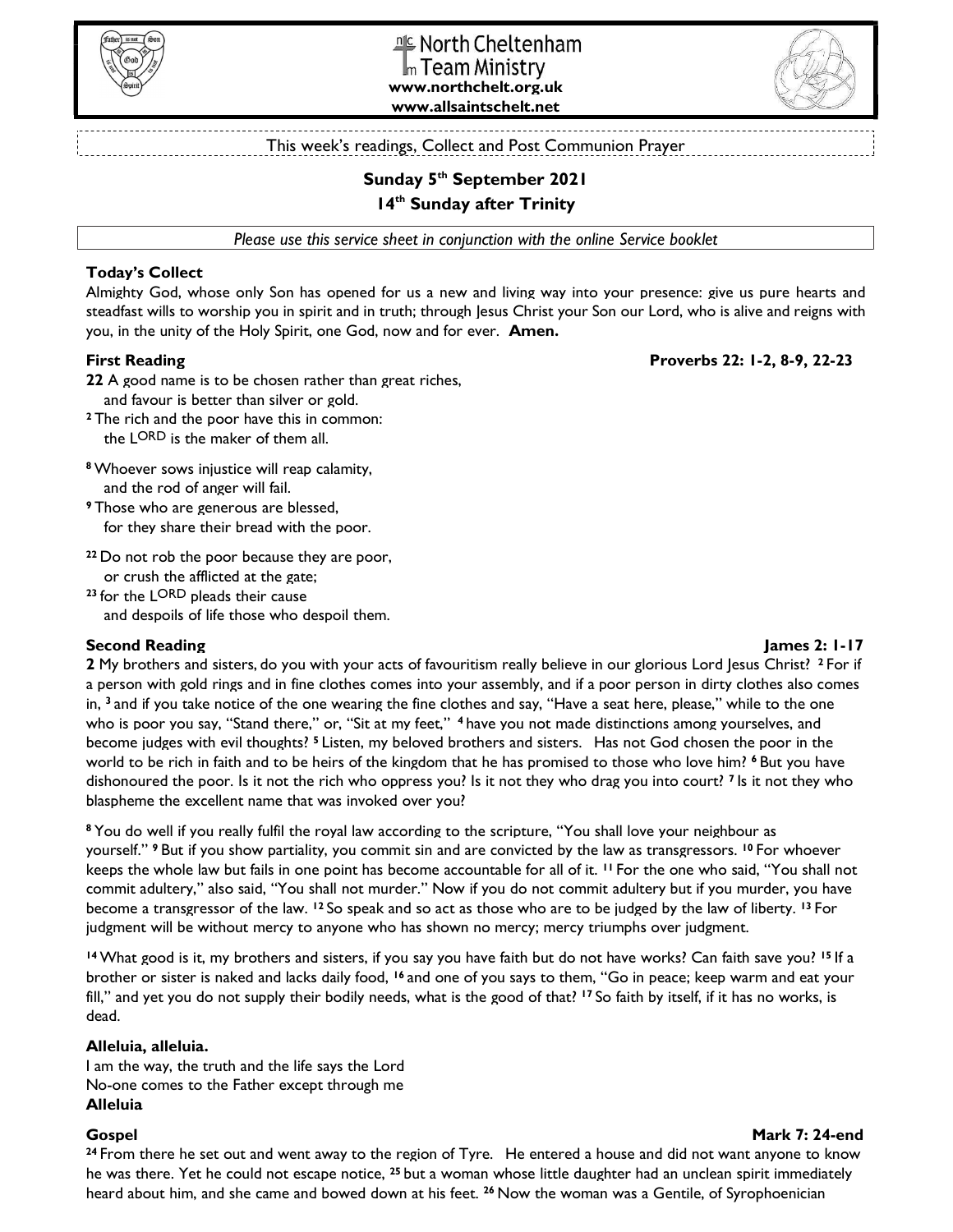



This week's readings, Collect and Post Communion Prayer

# Sunday 5<sup>th</sup> September 2021

## 14<sup>th</sup> Sunday after Trinity

Please use this service sheet in conjunction with the online Service booklet

## Today's Collect

Almighty God, whose only Son has opened for us a new and living way into your presence: give us pure hearts and steadfast wills to worship you in spirit and in truth; through Jesus Christ your Son our Lord, who is alive and reigns with you, in the unity of the Holy Spirit, one God, now and for ever. Amen.

## First Reading Proverbs 22: 1-2, 8-9, 22-23

22 A good name is to be chosen rather than great riches, and favour is better than silver or gold.

<sup>2</sup>The rich and the poor have this in common: the LORD is the maker of them all.

<sup>8</sup>Whoever sows injustice will reap calamity, and the rod of anger will fail.

<sup>9</sup>Those who are generous are blessed, for they share their bread with the poor.

<sup>22</sup>Do not rob the poor because they are poor, or crush the afflicted at the gate;

<sup>23</sup>for the LORD pleads their cause and despoils of life those who despoil them.

## Second Reading James 2: 1-17

2 My brothers and sisters, do you with your acts of favouritism really believe in our glorious Lord Jesus Christ? <sup>2</sup> For if a person with gold rings and in fine clothes comes into your assembly, and if a poor person in dirty clothes also comes in, <sup>3</sup> and if you take notice of the one wearing the fine clothes and say, "Have a seat here, please," while to the one who is poor you say, "Stand there," or, "Sit at my feet," <sup>4</sup> have you not made distinctions among yourselves, and become judges with evil thoughts? 5 Listen, my beloved brothers and sisters. Has not God chosen the poor in the world to be rich in faith and to be heirs of the kingdom that he has promised to those who love him? <sup>6</sup> But you have dishonoured the poor. Is it not the rich who oppress you? Is it not they who drag you into court? <sup>7</sup> Is it not they who blaspheme the excellent name that was invoked over you?

<sup>8</sup> You do well if you really fulfil the royal law according to the scripture, "You shall love your neighbour as yourself." 9 But if you show partiality, you commit sin and are convicted by the law as transgressors. 10 For whoever keeps the whole law but fails in one point has become accountable for all of it. 11 For the one who said, "You shall not commit adultery," also said, "You shall not murder." Now if you do not commit adultery but if you murder, you have become a transgressor of the law. 12 So speak and so act as those who are to be judged by the law of liberty. 13 For judgment will be without mercy to anyone who has shown no mercy; mercy triumphs over judgment.

<sup>14</sup> What good is it, my brothers and sisters, if you say you have faith but do not have works? Can faith save you? <sup>15</sup> If a brother or sister is naked and lacks daily food, 16 and one of you says to them, "Go in peace; keep warm and eat your fill," and yet you do not supply their bodily needs, what is the good of that? <sup>17</sup> So faith by itself, if it has no works, is dead.

## Alleluia, alleluia.

I am the way, the truth and the life says the Lord No-one comes to the Father except through me Alleluia

#### Gospel Mark 7: 24-end

<sup>24</sup> From there he set out and went away to the region of Tyre. He entered a house and did not want anyone to know he was there. Yet he could not escape notice, <sup>25</sup> but a woman whose little daughter had an unclean spirit immediately heard about him, and she came and bowed down at his feet. <sup>26</sup> Now the woman was a Gentile, of Syrophoenician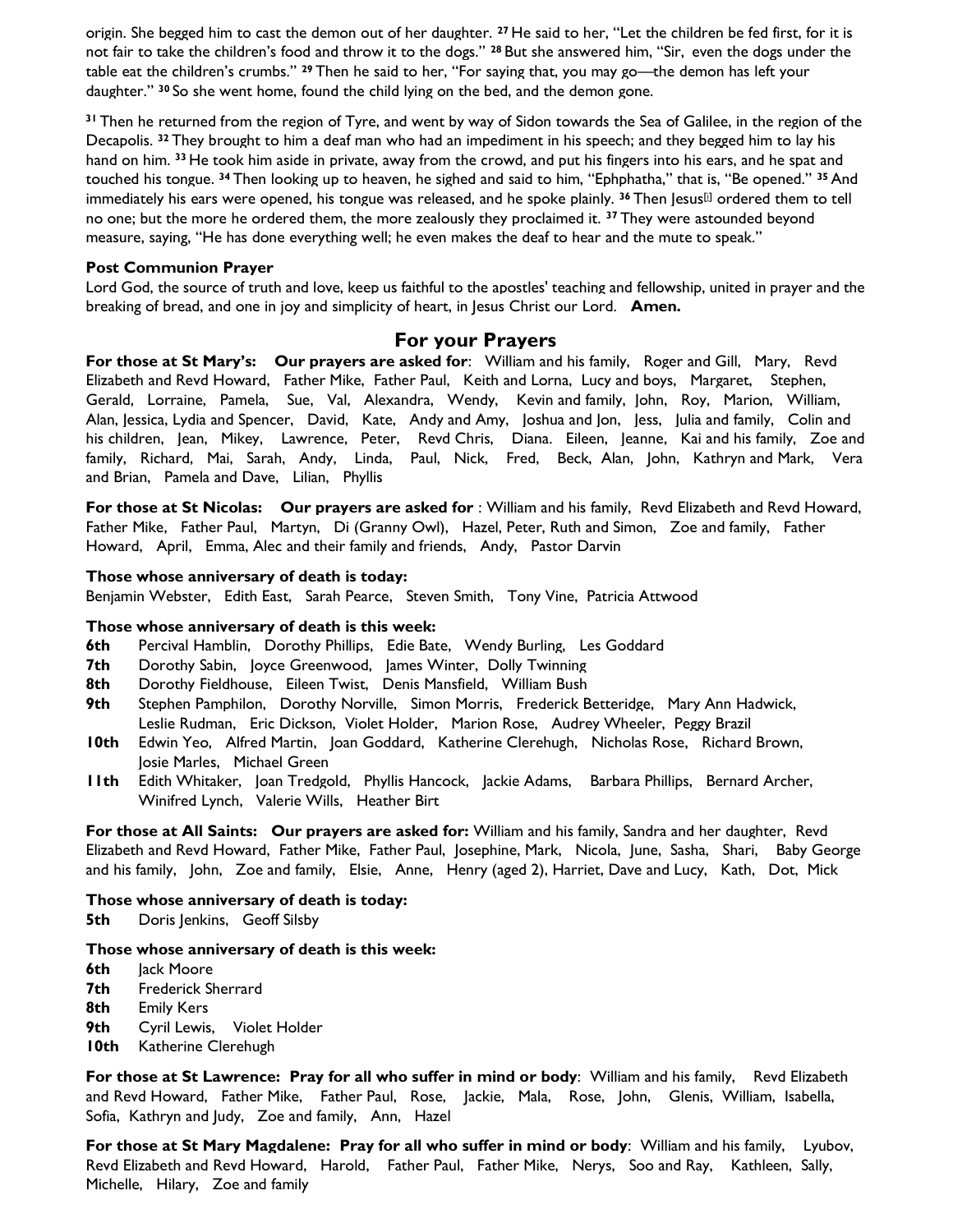origin. She begged him to cast the demon out of her daughter. <sup>27</sup> He said to her, "Let the children be fed first, for it is not fair to take the children's food and throw it to the dogs." <sup>28</sup> But she answered him, "Sir, even the dogs under the table eat the children's crumbs." <sup>29</sup> Then he said to her, "For saying that, you may go—the demon has left your daughter." 30 So she went home, found the child lying on the bed, and the demon gone.

<sup>31</sup> Then he returned from the region of Tyre, and went by way of Sidon towards the Sea of Galilee, in the region of the Decapolis. 32 They brought to him a deaf man who had an impediment in his speech; and they begged him to lay his hand on him. 33 He took him aside in private, away from the crowd, and put his fingers into his ears, and he spat and touched his tongue. <sup>34</sup> Then looking up to heaven, he sighed and said to him, "Ephphatha," that is, "Be opened." <sup>35</sup> And immediately his ears were opened, his tongue was released, and he spoke plainly.  $36$  Then Jesus<sup>[i]</sup> ordered them to tell no one; but the more he ordered them, the more zealously they proclaimed it. <sup>37</sup> They were astounded beyond measure, saying, "He has done everything well; he even makes the deaf to hear and the mute to speak."

## Post Communion Prayer

Lord God, the source of truth and love, keep us faithful to the apostles' teaching and fellowship, united in prayer and the breaking of bread, and one in joy and simplicity of heart, in Jesus Christ our Lord. Amen.

## For your Prayers

For those at St Mary's: Our prayers are asked for: William and his family, Roger and Gill, Mary, Revd Elizabeth and Revd Howard, Father Mike, Father Paul, Keith and Lorna, Lucy and boys, Margaret, Stephen, Gerald, Lorraine, Pamela, Sue, Val, Alexandra, Wendy, Kevin and family, John, Roy, Marion, William, Alan, Jessica, Lydia and Spencer, David, Kate, Andy and Amy, Joshua and Jon, Jess, Julia and family, Colin and his children, Jean, Mikey, Lawrence, Peter, Revd Chris, Diana. Eileen, Jeanne, Kai and his family, Zoe and family, Richard, Mai, Sarah, Andy, Linda, Paul, Nick, Fred, Beck, Alan, John, Kathryn and Mark, Vera and Brian, Pamela and Dave, Lilian, Phyllis

For those at St Nicolas: Our prayers are asked for : William and his family, Revd Elizabeth and Revd Howard, Father Mike, Father Paul, Martyn, Di (Granny Owl), Hazel, Peter, Ruth and Simon, Zoe and family, Father Howard, April, Emma, Alec and their family and friends, Andy, Pastor Darvin

## Those whose anniversary of death is today:

Benjamin Webster, Edith East, Sarah Pearce, Steven Smith, Tony Vine, Patricia Attwood

## Those whose anniversary of death is this week:

- 6th Percival Hamblin, Dorothy Phillips, Edie Bate, Wendy Burling, Les Goddard
- 7th Dorothy Sabin, Joyce Greenwood, James Winter, Dolly Twinning
- 8th Dorothy Fieldhouse, Eileen Twist, Denis Mansfield, William Bush
- 9th Stephen Pamphilon, Dorothy Norville, Simon Morris, Frederick Betteridge, Mary Ann Hadwick, Leslie Rudman, Eric Dickson, Violet Holder, Marion Rose, Audrey Wheeler, Peggy Brazil
- 10th Edwin Yeo, Alfred Martin, Joan Goddard, Katherine Clerehugh, Nicholas Rose, Richard Brown, Josie Marles, Michael Green
- 11th Edith Whitaker, Joan Tredgold, Phyllis Hancock, Jackie Adams, Barbara Phillips, Bernard Archer, Winifred Lynch, Valerie Wills, Heather Birt

For those at All Saints: Our prayers are asked for: William and his family, Sandra and her daughter, Revd Elizabeth and Revd Howard, Father Mike, Father Paul, Josephine, Mark, Nicola, June, Sasha, Shari, Baby George and his family, John, Zoe and family, Elsie, Anne, Henry (aged 2), Harriet, Dave and Lucy, Kath, Dot, Mick

## Those whose anniversary of death is today:

**5th** Doris Jenkins, Geoff Silsby

## Those whose anniversary of death is this week:

- **6th Jack Moore**
- 7th Frederick Sherrard
- 8th Emily Kers
- 9th Cyril Lewis, Violet Holder
- **10th** Katherine Clerehugh

For those at St Lawrence: Pray for all who suffer in mind or body: William and his family, Revd Elizabeth and Revd Howard, Father Mike, Father Paul, Rose, Jackie, Mala, Rose, John, Glenis, William, Isabella, Sofia, Kathryn and Judy, Zoe and family, Ann, Hazel

For those at St Mary Magdalene: Pray for all who suffer in mind or body: William and his family, Lyubov, Revd Elizabeth and Revd Howard, Harold, Father Paul, Father Mike, Nerys, Soo and Ray, Kathleen, Sally, Michelle, Hilary, Zoe and family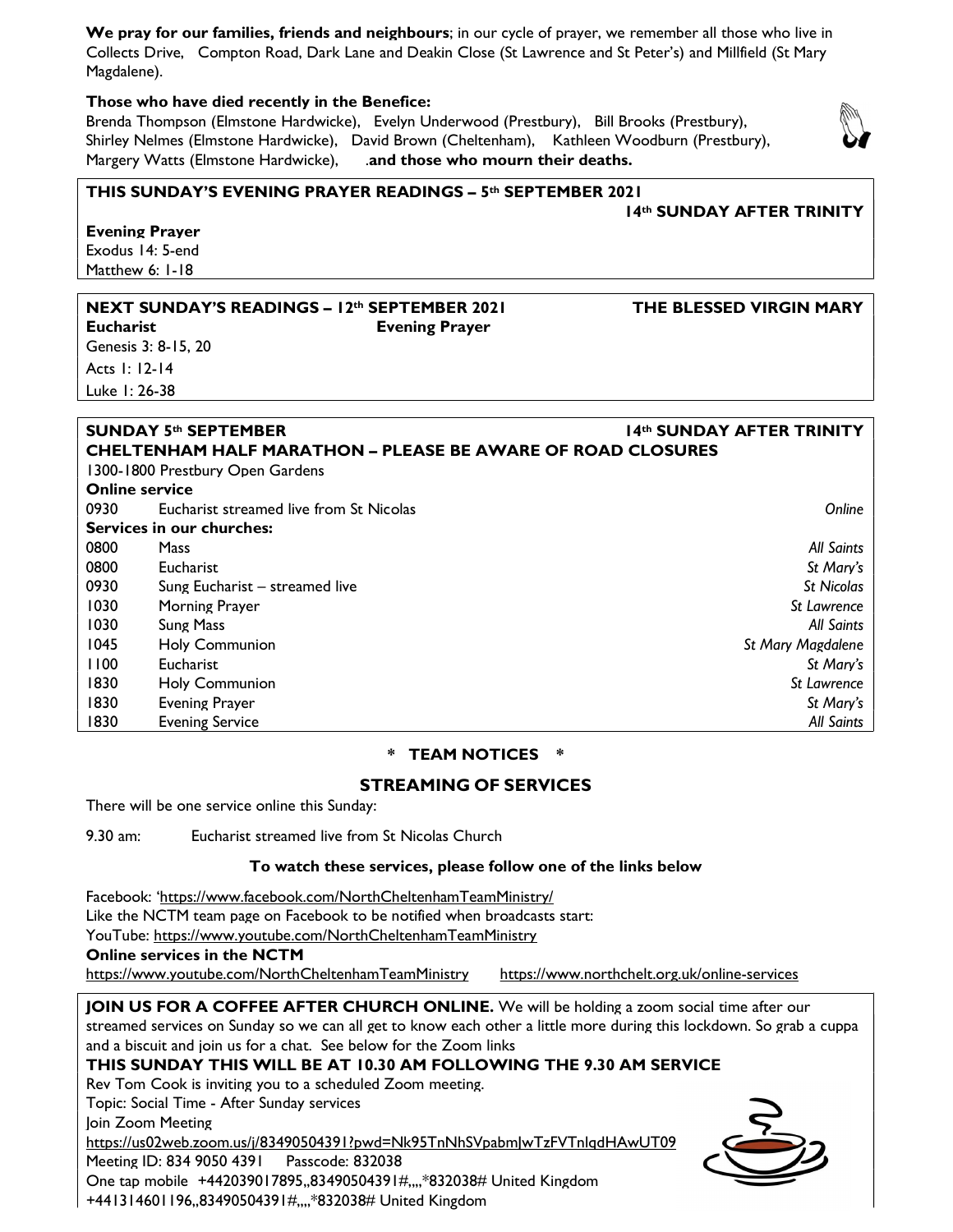|             | We pray for our families, friends and neighbours; in our cycle of prayer, we remember all those who live in  |
|-------------|--------------------------------------------------------------------------------------------------------------|
|             | Collects Drive, Compton Road, Dark Lane and Deakin Close (St Lawrence and St Peter's) and Millfield (St Mary |
| Magdalene). |                                                                                                              |

## Those who have died recently in the Benefice:

Brenda Thompson (Elmstone Hardwicke), Evelyn Underwood (Prestbury), Bill Brooks (Prestbury), Shirley Nelmes (Elmstone Hardwicke), David Brown (Cheltenham), Kathleen Woodburn (Prestbury), Margery Watts (Elmstone Hardwicke), . and those who mourn their deaths.



## THIS SUNDAY'S EVENING PRAYER READINGS – 5th SEPTEMBER 2021

 Evening Prayer Exodus 14: 5-end Matthew 6: I-18

#### NEXT SUNDAY'S READINGS – 12<sup>th</sup> SEPTEMBER 2021 THE BLESSED VIRGIN MARY

Genesis 3: 8-15, 20 Acts 1: 12-14 Luke 1: 26-38

## Eucharist Evening Prayer

SUNDAY 5<sup>th</sup> SEPTEMBER 14th SUNDAY AFTER TRINITY CHELTENHAM HALF MARATHON – PLEASE BE AWARE OF ROAD CLOSURES

14th SUNDAY AFTER TRINITY

|                       | 1300-1800 Prestbury Open Gardens        |                   |
|-----------------------|-----------------------------------------|-------------------|
| <b>Online service</b> |                                         |                   |
| 0930                  | Eucharist streamed live from St Nicolas | Online            |
|                       | Services in our churches:               |                   |
| 0800                  | Mass                                    | All Saints        |
| 0800                  | Eucharist                               | St Mary's         |
| 0930                  | Sung Eucharist - streamed live          | St Nicolas        |
| 1030                  | <b>Morning Prayer</b>                   | St Lawrence       |
| 1030                  | Sung Mass                               | All Saints        |
| 1045                  | <b>Holy Communion</b>                   | St Mary Magdalene |
| 1100                  | <b>Eucharist</b>                        | St Mary's         |
| 1830                  | <b>Holy Communion</b>                   | St Lawrence       |
| 1830                  | <b>Evening Prayer</b>                   | St Mary's         |
| 1830                  | <b>Evening Service</b>                  | All Saints        |

## \* TEAM NOTICES \*

## STREAMING OF SERVICES

There will be one service online this Sunday:

9.30 am: Eucharist streamed live from St Nicolas Church

## To watch these services, please follow one of the links below

Facebook: 'https://www.facebook.com/NorthCheltenhamTeamMinistry/

Like the NCTM team page on Facebook to be notified when broadcasts start:

YouTube: https://www.youtube.com/NorthCheltenhamTeamMinistry

Online services in the NCTM

https://www.youtube.com/NorthCheltenhamTeamMinistry https://www.northchelt.org.uk/online-services

JOIN US FOR A COFFEE AFTER CHURCH ONLINE. We will be holding a zoom social time after our streamed services on Sunday so we can all get to know each other a little more during this lockdown. So grab a cuppa and a biscuit and join us for a chat. See below for the Zoom links

## THIS SUNDAY THIS WILL BE AT 10.30 AM FOLLOWING THE 9.30 AM SERVICE

Rev Tom Cook is inviting you to a scheduled Zoom meeting. Topic: Social Time - After Sunday services

Join Zoom Meeting

https://us02web.zoom.us/j/83490504391?pwd=Nk95TnNhSVpabmJwTzFVTnlqdHAwUT09 Meeting ID: 834 9050 4391 Passcode: 832038 One tap mobile +442039017895,,83490504391#,,,,\*832038# United Kingdom +441314601196,,83490504391#,,,,\*832038# United Kingdom

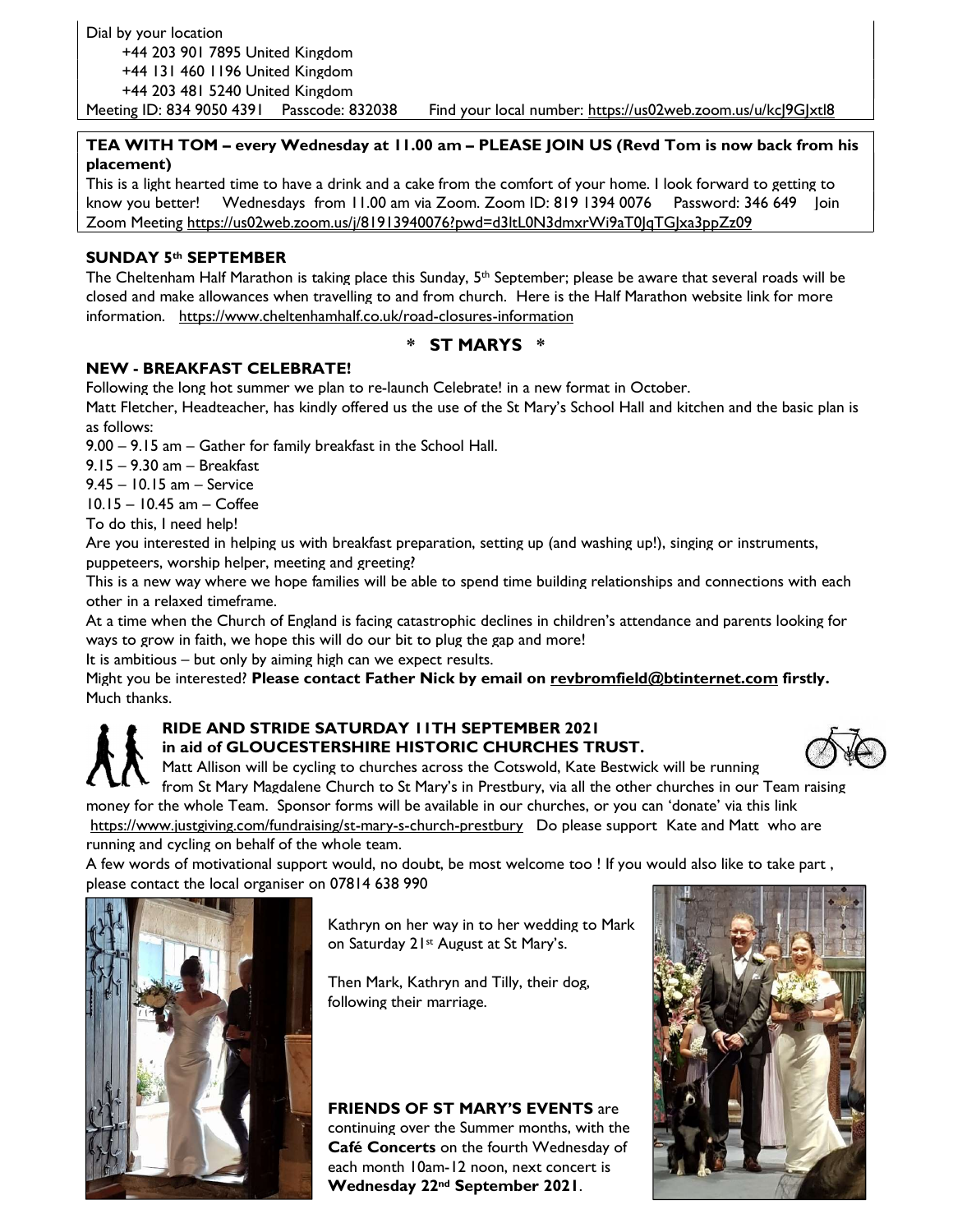## TEA WITH TOM – every Wednesday at 11.00 am – PLEASE JOIN US (Revd Tom is now back from his placement)

This is a light hearted time to have a drink and a cake from the comfort of your home. I look forward to getting to know you better! Wednesdays from 11.00 am via Zoom. Zoom ID: 819 1394 0076 Password: 346 649 Join Zoom Meeting https://us02web.zoom.us/j/81913940076?pwd=d3ltL0N3dmxrWi9aT0JqTGJxa3ppZz09

## SUNDAY 5th SEPTEMBER

The Cheltenham Half Marathon is taking place this Sunday,  $5<sup>th</sup>$  September; please be aware that several roads will be closed and make allowances when travelling to and from church. Here is the Half Marathon website link for more information. https://www.cheltenhamhalf.co.uk/road-closures-information

## \* ST MARYS \*

## NEW - BREAKFAST CELEBRATE!

Following the long hot summer we plan to re-launch Celebrate! in a new format in October.

Matt Fletcher, Headteacher, has kindly offered us the use of the St Mary's School Hall and kitchen and the basic plan is as follows:

9.00 – 9.15 am – Gather for family breakfast in the School Hall.

9.15 – 9.30 am – Breakfast

9.45 – 10.15 am – Service

10.15 – 10.45 am – Coffee

To do this, I need help!

Are you interested in helping us with breakfast preparation, setting up (and washing up!), singing or instruments, puppeteers, worship helper, meeting and greeting?

This is a new way where we hope families will be able to spend time building relationships and connections with each other in a relaxed timeframe.

At a time when the Church of England is facing catastrophic declines in children's attendance and parents looking for ways to grow in faith, we hope this will do our bit to plug the gap and more!

It is ambitious – but only by aiming high can we expect results.

Might you be interested? Please contact Father Nick by email on revbromfield@btinternet.com firstly. Much thanks.

## RIDE AND STRIDE SATURDAY 11TH SEPTEMBER 2021 in aid of GLOUCESTERSHIRE HISTORIC CHURCHES TRUST.



Matt Allison will be cycling to churches across the Cotswold, Kate Bestwick will be running

from St Mary Magdalene Church to St Mary's in Prestbury, via all the other churches in our Team raising money for the whole Team. Sponsor forms will be available in our churches, or you can 'donate' via this link https://www.justgiving.com/fundraising/st-mary-s-church-prestbury Do please support Kate and Matt who are running and cycling on behalf of the whole team.

A few words of motivational support would, no doubt, be most welcome too ! If you would also like to take part , please contact the local organiser on 07814 638 990



Kathryn on her way in to her wedding to Mark on Saturday 21st August at St Mary's.

Then Mark, Kathryn and Tilly, their dog, following their marriage.

FRIENDS OF ST MARY'S EVENTS are continuing over the Summer months, with the Café Concerts on the fourth Wednesday of each month 10am-12 noon, next concert is Wednesday 22nd September 2021.

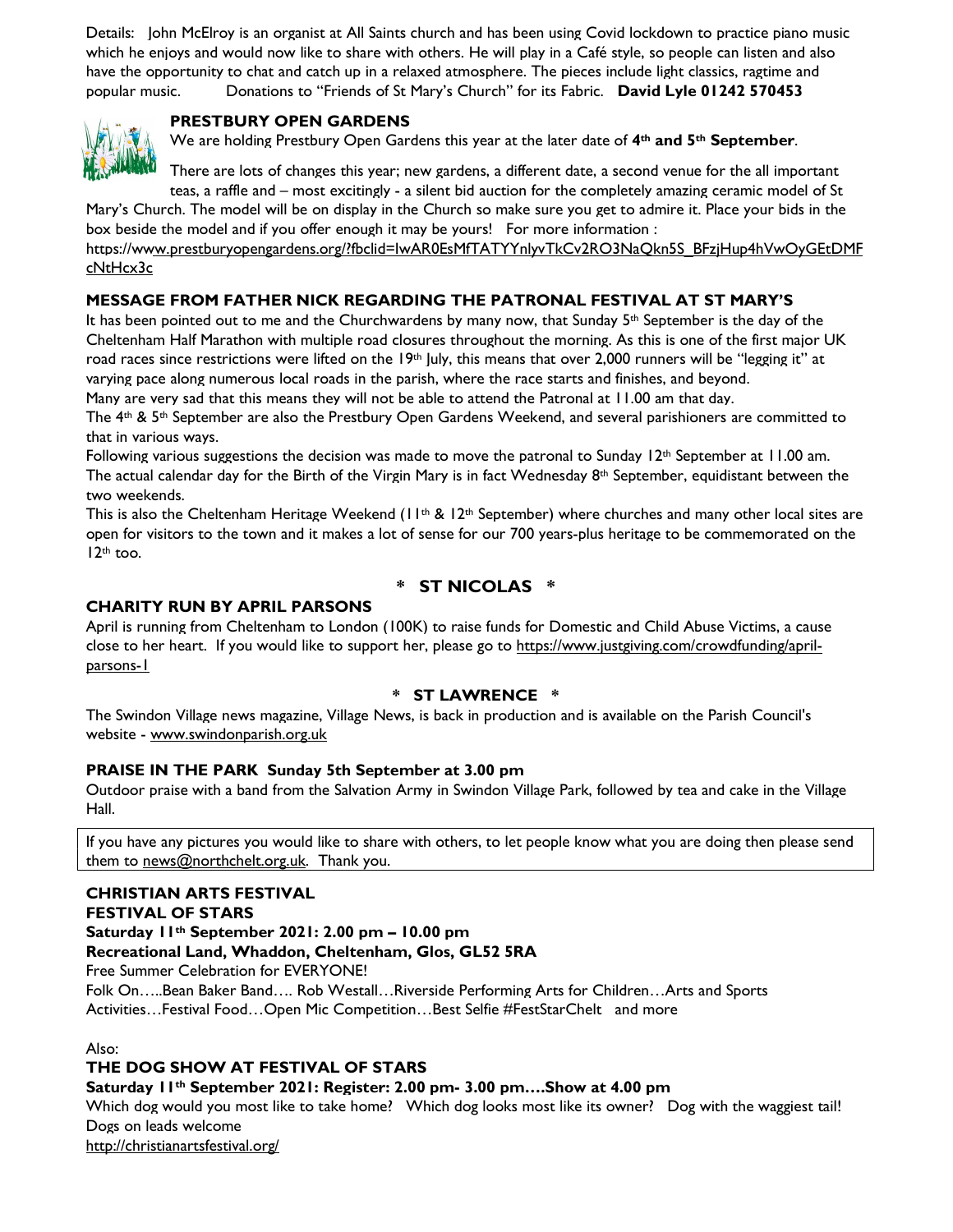Details: John McElroy is an organist at All Saints church and has been using Covid lockdown to practice piano music which he enjoys and would now like to share with others. He will play in a Café style, so people can listen and also have the opportunity to chat and catch up in a relaxed atmosphere. The pieces include light classics, ragtime and popular music. Donations to "Friends of St Mary's Church" for its Fabric. David Lyle 01242 570453



## PRESTBURY OPEN GARDENS

We are holding Prestbury Open Gardens this year at the later date of 4<sup>th</sup> and 5<sup>th</sup> September.

There are lots of changes this year; new gardens, a different date, a second venue for the all important teas, a raffle and – most excitingly - a silent bid auction for the completely amazing ceramic model of St

Mary's Church. The model will be on display in the Church so make sure you get to admire it. Place your bids in the box beside the model and if you offer enough it may be yours! For more information : https://www.prestburyopengardens.org/?fbclid=IwAR0EsMfTATYYnlyvTkCv2RO3NaQkn5S\_BFzjHup4hVwOyGEtDMF cNtHcx3c

## MESSAGE FROM FATHER NICK REGARDING THE PATRONAL FESTIVAL AT ST MARY'S

It has been pointed out to me and the Churchwardens by many now, that Sunday 5<sup>th</sup> September is the day of the Cheltenham Half Marathon with multiple road closures throughout the morning. As this is one of the first major UK road races since restrictions were lifted on the  $19th$  July, this means that over 2,000 runners will be "legging it" at varying pace along numerous local roads in the parish, where the race starts and finishes, and beyond.

Many are very sad that this means they will not be able to attend the Patronal at 11.00 am that day.

The  $4th$  &  $5th$  September are also the Prestbury Open Gardens Weekend, and several parishioners are committed to that in various ways.

Following various suggestions the decision was made to move the patronal to Sunday  $12<sup>th</sup>$  September at 11.00 am. The actual calendar day for the Birth of the Virgin Mary is in fact Wednesday  $8<sup>th</sup>$  September, equidistant between the two weekends.

This is also the Cheltenham Heritage Weekend ( $11^{th}$  &  $12^{th}$  September) where churches and many other local sites are open for visitors to the town and it makes a lot of sense for our 700 years-plus heritage to be commemorated on the  $12<sup>th</sup>$  too.

## \* ST NICOLAS \*

## CHARITY RUN BY APRIL PARSONS

April is running from Cheltenham to London (100K) to raise funds for Domestic and Child Abuse Victims, a cause close to her heart. If you would like to support her, please go to https://www.justgiving.com/crowdfunding/aprilparsons-1

## \* ST LAWRENCE \*

The Swindon Village news magazine, Village News, is back in production and is available on the Parish Council's website - www.swindonparish.org.uk

#### PRAISE IN THE PARK Sunday 5th September at 3.00 pm

Outdoor praise with a band from the Salvation Army in Swindon Village Park, followed by tea and cake in the Village Hall.

If you have any pictures you would like to share with others, to let people know what you are doing then please send them to news@northchelt.org.uk. Thank you.

## CHRISTIAN ARTS FESTIVAL FESTIVAL OF STARS

Saturday 11th September 2021: 2.00 pm – 10.00 pm

#### Recreational Land, Whaddon, Cheltenham, Glos, GL52 5RA

Free Summer Celebration for EVERYONE!

Folk On…..Bean Baker Band…. Rob Westall…Riverside Performing Arts for Children…Arts and Sports Activities…Festival Food…Open Mic Competition…Best Selfie #FestStarChelt and more

Also:

## THE DOG SHOW AT FESTIVAL OF STARS

#### Saturday 11th September 2021: Register: 2.00 pm- 3.00 pm….Show at 4.00 pm

Which dog would you most like to take home? Which dog looks most like its owner? Dog with the waggiest tail! Dogs on leads welcome

http://christianartsfestival.org/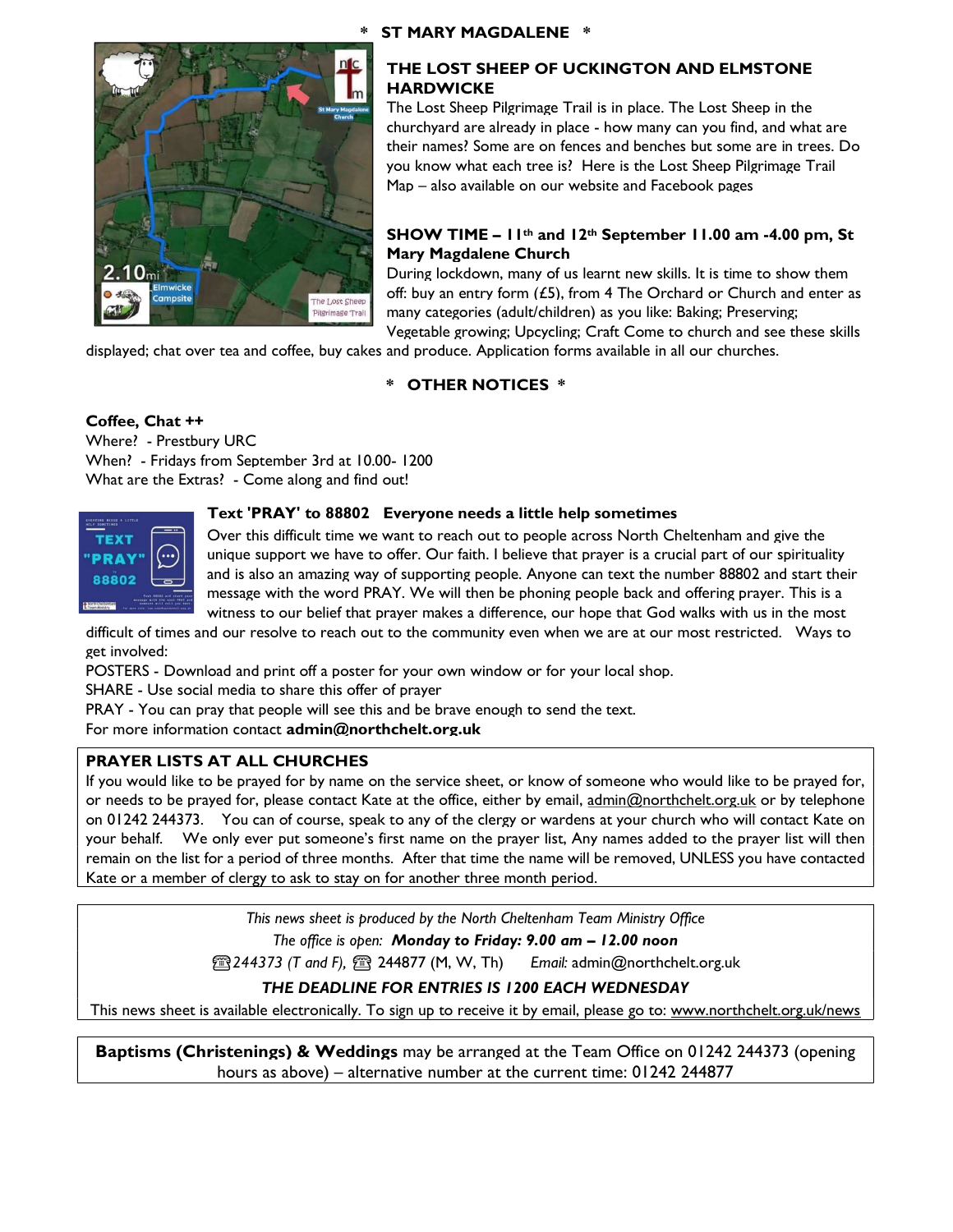## \* ST MARY MAGDALENE \*



## THE LOST SHEEP OF UCKINGTON AND ELMSTONE **HARDWICKE**

The Lost Sheep Pilgrimage Trail is in place. The Lost Sheep in the churchyard are already in place - how many can you find, and what are their names? Some are on fences and benches but some are in trees. Do you know what each tree is? Here is the Lost Sheep Pilgrimage Trail Map – also available on our website and Facebook pages

## SHOW TIME –  $11^{th}$  and  $12^{th}$  September 11.00 am -4.00 pm, St Mary Magdalene Church

During lockdown, many of us learnt new skills. It is time to show them off: buy an entry form  $(£5)$ , from 4 The Orchard or Church and enter as many categories (adult/children) as you like: Baking; Preserving; Vegetable growing; Upcycling; Craft Come to church and see these skills

displayed; chat over tea and coffee, buy cakes and produce. Application forms available in all our churches.

## \* OTHER NOTICES \*

## Coffee, Chat ++

Where? - Prestbury URC When? - Fridays from September 3rd at 10.00- 1200 What are the Extras? - Come along and find out!



## Text 'PRAY' to 88802 Everyone needs a little help sometimes

Over this difficult time we want to reach out to people across North Cheltenham and give the unique support we have to offer. Our faith. I believe that prayer is a crucial part of our spirituality and is also an amazing way of supporting people. Anyone can text the number 88802 and start their message with the word PRAY. We will then be phoning people back and offering prayer. This is a witness to our belief that prayer makes a difference, our hope that God walks with us in the most

difficult of times and our resolve to reach out to the community even when we are at our most restricted. Ways to get involved:

POSTERS - Download and print off a poster for your own window or for your local shop.

SHARE - Use social media to share this offer of prayer

PRAY - You can pray that people will see this and be brave enough to send the text.

For more information contact admin@northchelt.org.uk

## PRAYER LISTS AT ALL CHURCHES

If you would like to be prayed for by name on the service sheet, or know of someone who would like to be prayed for, or needs to be prayed for, please contact Kate at the office, either by email, admin@northchelt.org.uk or by telephone on 01242 244373. You can of course, speak to any of the clergy or wardens at your church who will contact Kate on your behalf. We only ever put someone's first name on the prayer list, Any names added to the prayer list will then remain on the list for a period of three months. After that time the name will be removed, UNLESS you have contacted Kate or a member of clergy to ask to stay on for another three month period.

> This news sheet is produced by the North Cheltenham Team Ministry Office The office is open: Monday to Friday: 9.00 am – 12.00 noon

**图244373 (T and F), 图 244877 (M, W, Th)** Email: admin@northchelt.org.uk

## THE DEADLINE FOR ENTRIES IS 1200 EACH WEDNESDAY

This news sheet is available electronically. To sign up to receive it by email, please go to: www.northchelt.org.uk/news

**Baptisms (Christenings) & Weddings** may be arranged at the Team Office on 01242 244373 (opening hours as above) – alternative number at the current time: 01242 244877